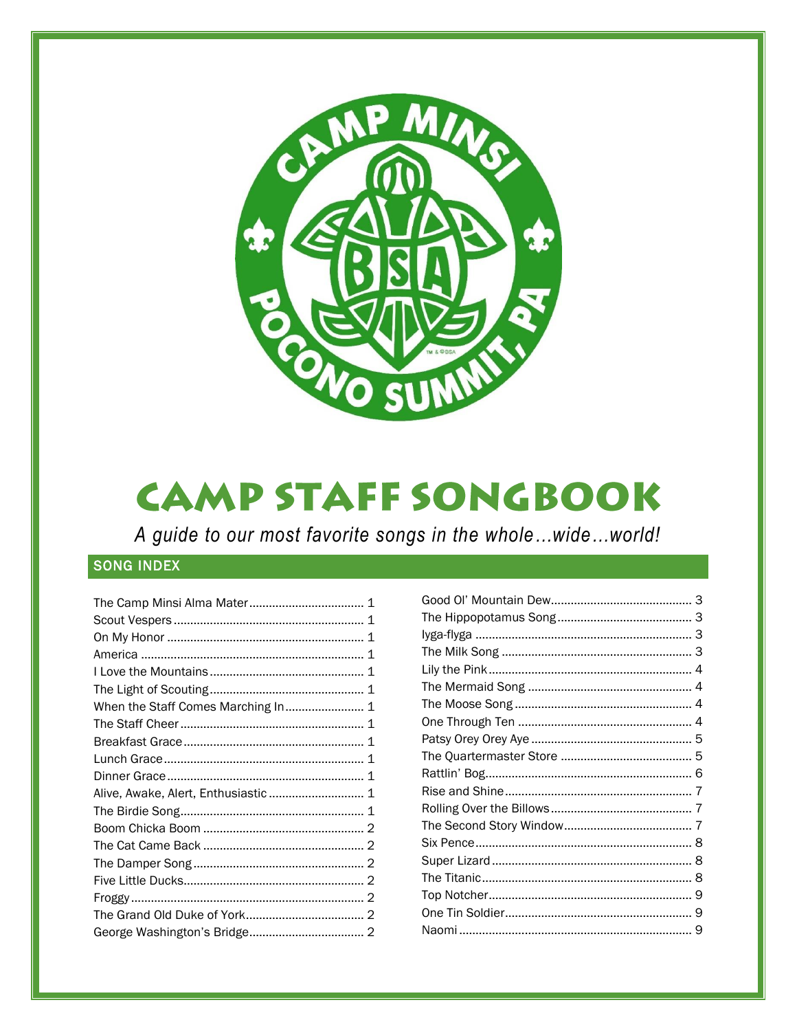

# **CAMP STAFF SONGBOOK**

A guide to our most favorite songs in the whole...wide...world!

## **SONG INDEX**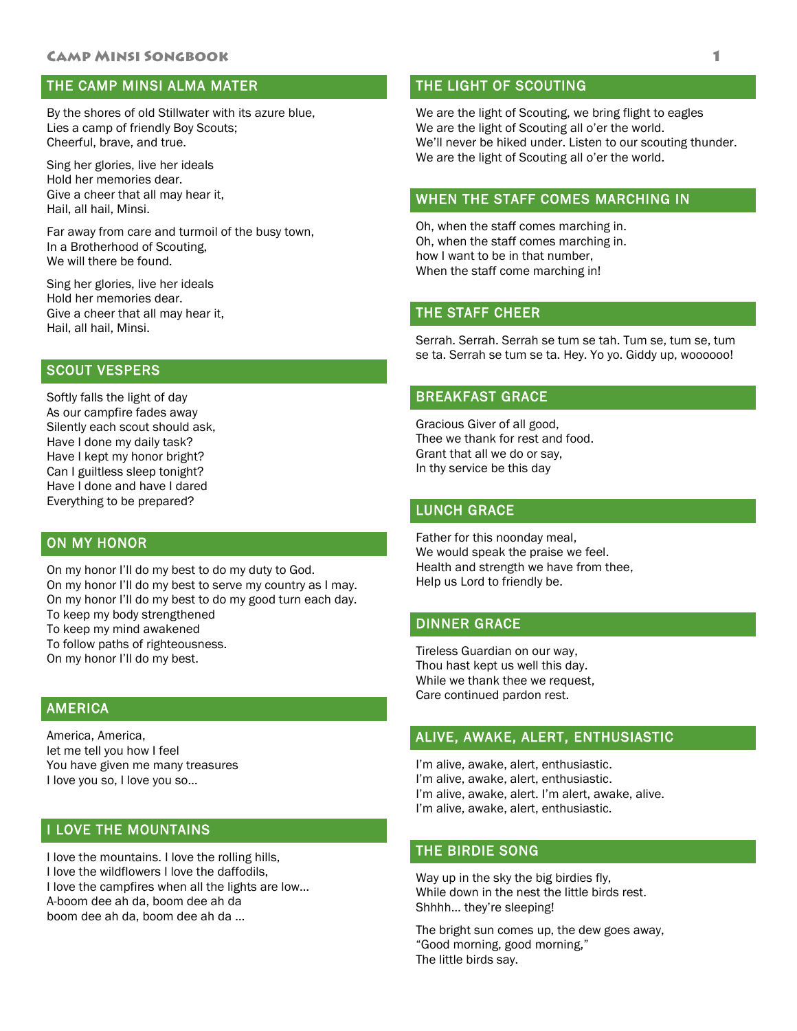## <span id="page-1-0"></span>THE CAMP MINSI ALMA MATER

By the shores of old Stillwater with its azure blue, Lies a camp of friendly Boy Scouts; Cheerful, brave, and true.

Sing her glories, live her ideals Hold her memories dear. Give a cheer that all may hear it, Hail, all hail, Minsi.

Far away from care and turmoil of the busy town, In a Brotherhood of Scouting, We will there be found.

Sing her glories, live her ideals Hold her memories dear. Give a cheer that all may hear it, Hail, all hail, Minsi.

#### <span id="page-1-1"></span>SCOUT VESPERS

Softly falls the light of day As our campfire fades away Silently each scout should ask, Have I done my daily task? Have I kept my honor bright? Can I guiltless sleep tonight? Have I done and have I dared Everything to be prepared?

## <span id="page-1-2"></span>ON MY HONOR

On my honor I'll do my best to do my duty to God. On my honor I'll do my best to serve my country as I may. On my honor I'll do my best to do my good turn each day. To keep my body strengthened To keep my mind awakened To follow paths of righteousness. On my honor I'll do my best.

#### <span id="page-1-3"></span>AMERICA

America, America, let me tell you how I feel You have given me many treasures I love you so, I love you so…

## <span id="page-1-4"></span>I LOVE THE MOUNTAINS

I love the mountains. I love the rolling hills, I love the wildflowers I love the daffodils, I love the campfires when all the lights are low… A-boom dee ah da, boom dee ah da boom dee ah da, boom dee ah da …

## <span id="page-1-5"></span>THE LIGHT OF SCOUTING

We are the light of Scouting, we bring flight to eagles We are the light of Scouting all o'er the world. We'll never be hiked under. Listen to our scouting thunder. We are the light of Scouting all o'er the world.

#### <span id="page-1-6"></span>WHEN THE STAFF COMES MARCHING IN

Oh, when the staff comes marching in. Oh, when the staff comes marching in. how I want to be in that number, When the staff come marching in!

## <span id="page-1-7"></span>THE STAFF CHEER

Serrah. Serrah. Serrah se tum se tah. Tum se, tum se, tum se ta. Serrah se tum se ta. Hey. Yo yo. Giddy up, woooooo!

## <span id="page-1-8"></span>BREAKFAST GRACE

Gracious Giver of all good, Thee we thank for rest and food. Grant that all we do or say, In thy service be this day

## <span id="page-1-9"></span>LUNCH GRACE

Father for this noonday meal, We would speak the praise we feel. Health and strength we have from thee, Help us Lord to friendly be.

## <span id="page-1-10"></span>DINNER GRACE

Tireless Guardian on our way, Thou hast kept us well this day. While we thank thee we request, Care continued pardon rest.

## <span id="page-1-11"></span>ALIVE, AWAKE, ALERT, ENTHUSIASTIC

I'm alive, awake, alert, enthusiastic. I'm alive, awake, alert, enthusiastic. I'm alive, awake, alert. I'm alert, awake, alive. I'm alive, awake, alert, enthusiastic.

#### <span id="page-1-12"></span>THE BIRDIE SONG

Way up in the sky the big birdies fly, While down in the nest the little birds rest. Shhhh… they're sleeping!

The bright sun comes up, the dew goes away, "Good morning, good morning," The little birds say.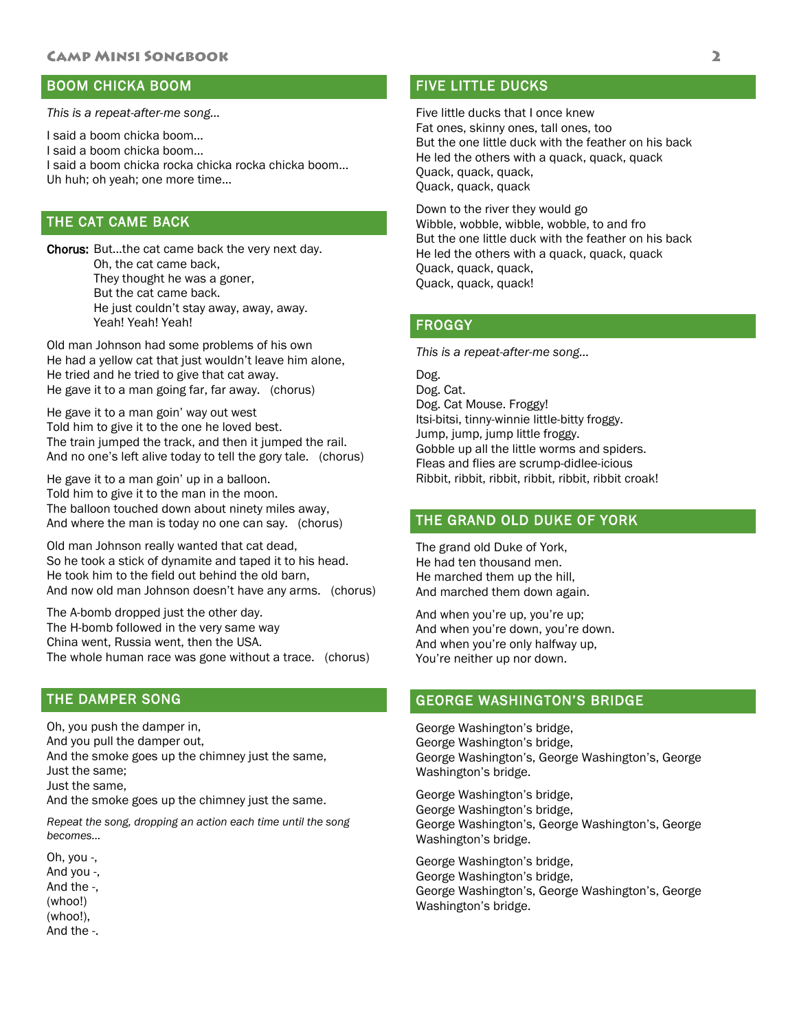## <span id="page-2-0"></span>BOOM CHICKA BOOM

*This is a repeat-after-me song…*

I said a boom chicka boom… I said a boom chicka boom… I said a boom chicka rocka chicka rocka chicka boom… Uh huh; oh yeah; one more time…

## <span id="page-2-1"></span>**THE CAT CAME BACK**

Chorus: But…the cat came back the very next day. Oh, the cat came back, They thought he was a goner, But the cat came back. He just couldn't stay away, away, away. Yeah! Yeah! Yeah!

Old man Johnson had some problems of his own He had a yellow cat that just wouldn't leave him alone, He tried and he tried to give that cat away. He gave it to a man going far, far away. (chorus)

He gave it to a man goin' way out west Told him to give it to the one he loved best. The train jumped the track, and then it jumped the rail. And no one's left alive today to tell the gory tale. (chorus)

He gave it to a man goin' up in a balloon. Told him to give it to the man in the moon. The balloon touched down about ninety miles away, And where the man is today no one can say. (chorus)

Old man Johnson really wanted that cat dead, So he took a stick of dynamite and taped it to his head. He took him to the field out behind the old barn, And now old man Johnson doesn't have any arms. (chorus)

The A-bomb dropped just the other day. The H-bomb followed in the very same way China went, Russia went, then the USA. The whole human race was gone without a trace. (chorus)

#### <span id="page-2-2"></span>THE DAMPER SONG

Oh, you push the damper in, And you pull the damper out, And the smoke goes up the chimney just the same, Just the same; Just the same, And the smoke goes up the chimney just the same.

*Repeat the song, dropping an action each time until the song becomes…*

Oh, you -, And you -, And the -, (whoo!) (whoo!), And the -.

## <span id="page-2-3"></span>FIVE LITTLE DUCKS

Five little ducks that I once knew Fat ones, skinny ones, tall ones, too But the one little duck with the feather on his back He led the others with a quack, quack, quack Quack, quack, quack, Quack, quack, quack

Down to the river they would go Wibble, wobble, wibble, wobble, to and fro But the one little duck with the feather on his back He led the others with a quack, quack, quack Quack, quack, quack, Quack, quack, quack!

## <span id="page-2-4"></span>FROGGY

*This is a repeat-after-me song…*

Dog. Dog. Cat. Dog. Cat Mouse. Froggy! Itsi-bitsi, tinny-winnie little-bitty froggy. Jump, jump, jump little froggy. Gobble up all the little worms and spiders. Fleas and flies are scrump-didlee-icious Ribbit, ribbit, ribbit, ribbit, ribbit, ribbit croak!

#### <span id="page-2-5"></span>THE GRAND OLD DUKE OF YORK

The grand old Duke of York, He had ten thousand men. He marched them up the hill, And marched them down again.

And when you're up, you're up; And when you're down, you're down. And when you're only halfway up, You're neither up nor down.

## <span id="page-2-6"></span>GEORGE WASHINGTON'S BRIDGE

George Washington's bridge, George Washington's bridge, George Washington's, George Washington's, George Washington's bridge.

George Washington's bridge, George Washington's bridge, George Washington's, George Washington's, George Washington's bridge.

George Washington's bridge, George Washington's bridge, George Washington's, George Washington's, George Washington's bridge.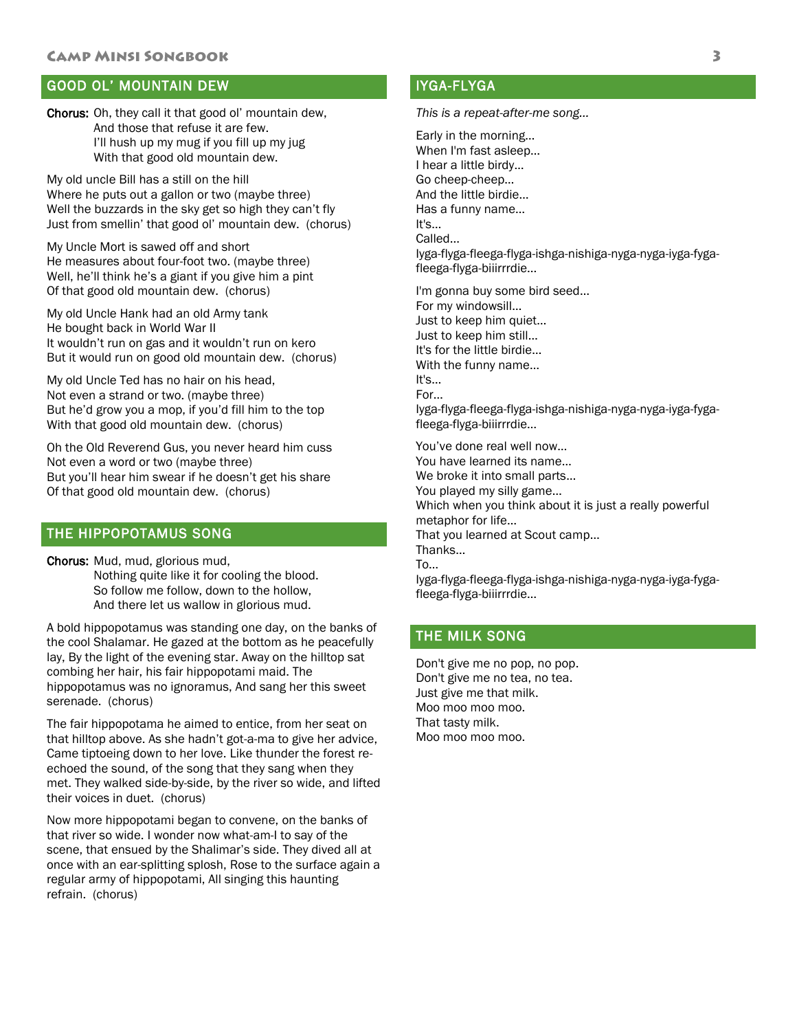## <span id="page-3-0"></span>GOOD OL' MOUNTAIN DEW

Chorus: Oh, they call it that good ol' mountain dew, And those that refuse it are few. I'll hush up my mug if you fill up my jug With that good old mountain dew.

My old uncle Bill has a still on the hill Where he puts out a gallon or two (maybe three) Well the buzzards in the sky get so high they can't fly Just from smellin' that good ol' mountain dew. (chorus)

My Uncle Mort is sawed off and short He measures about four-foot two. (maybe three) Well, he'll think he's a giant if you give him a pint Of that good old mountain dew. (chorus)

My old Uncle Hank had an old Army tank He bought back in World War II It wouldn't run on gas and it wouldn't run on kero But it would run on good old mountain dew. (chorus)

My old Uncle Ted has no hair on his head, Not even a strand or two. (maybe three) But he'd grow you a mop, if you'd fill him to the top With that good old mountain dew. (chorus)

Oh the Old Reverend Gus, you never heard him cuss Not even a word or two (maybe three) But you'll hear him swear if he doesn't get his share Of that good old mountain dew. (chorus)

#### <span id="page-3-1"></span>THE HIPPOPOTAMUS SONG

Chorus: Mud, mud, glorious mud, Nothing quite like it for cooling the blood. So follow me follow, down to the hollow, And there let us wallow in glorious mud.

A bold hippopotamus was standing one day, on the banks of the cool Shalamar. He gazed at the bottom as he peacefully lay, By the light of the evening star. Away on the hilltop sat combing her hair, his fair hippopotami maid. The hippopotamus was no ignoramus, And sang her this sweet serenade. (chorus)

The fair hippopotama he aimed to entice, from her seat on that hilltop above. As she hadn't got-a-ma to give her advice, Came tiptoeing down to her love. Like thunder the forest reechoed the sound, of the song that they sang when they met. They walked side-by-side, by the river so wide, and lifted their voices in duet. (chorus)

Now more hippopotami began to convene, on the banks of that river so wide. I wonder now what-am-I to say of the scene, that ensued by the Shalimar's side. They dived all at once with an ear-splitting splosh, Rose to the surface again a regular army of hippopotami, All singing this haunting refrain. (chorus)

## <span id="page-3-2"></span>IYGA-FLYGA

*This is a repeat-after-me song…*

Early in the morning… When I'm fast asleep… I hear a little birdy… Go cheep-cheep… And the little birdie… Has a funny name… It's… Called... Iyga-flyga-fleega-flyga-ishga-nishiga-nyga-nyga-iyga-fygafleega-flyga-biiirrrdie...

I'm gonna buy some bird seed… For my windowsill… Just to keep him quiet… Just to keep him still… It's for the little birdie… With the funny name… It's… For… Iyga-flyga-fleega-flyga-ishga-nishiga-nyga-nyga-iyga-fygafleega-flyga-biiirrrdie… You've done real well now…

You have learned its name… We broke it into small parts… You played my silly game… Which when you think about it is just a really powerful metaphor for life… That you learned at Scout camp… Thanks… To… Iyga-flyga-fleega-flyga-ishga-nishiga-nyga-nyga-iyga-fygafleega-flyga-biiirrrdie…

## <span id="page-3-3"></span>THE MILK SONG

Don't give me no pop, no pop. Don't give me no tea, no tea. Just give me that milk. Moo moo moo moo. That tasty milk. Moo moo moo moo.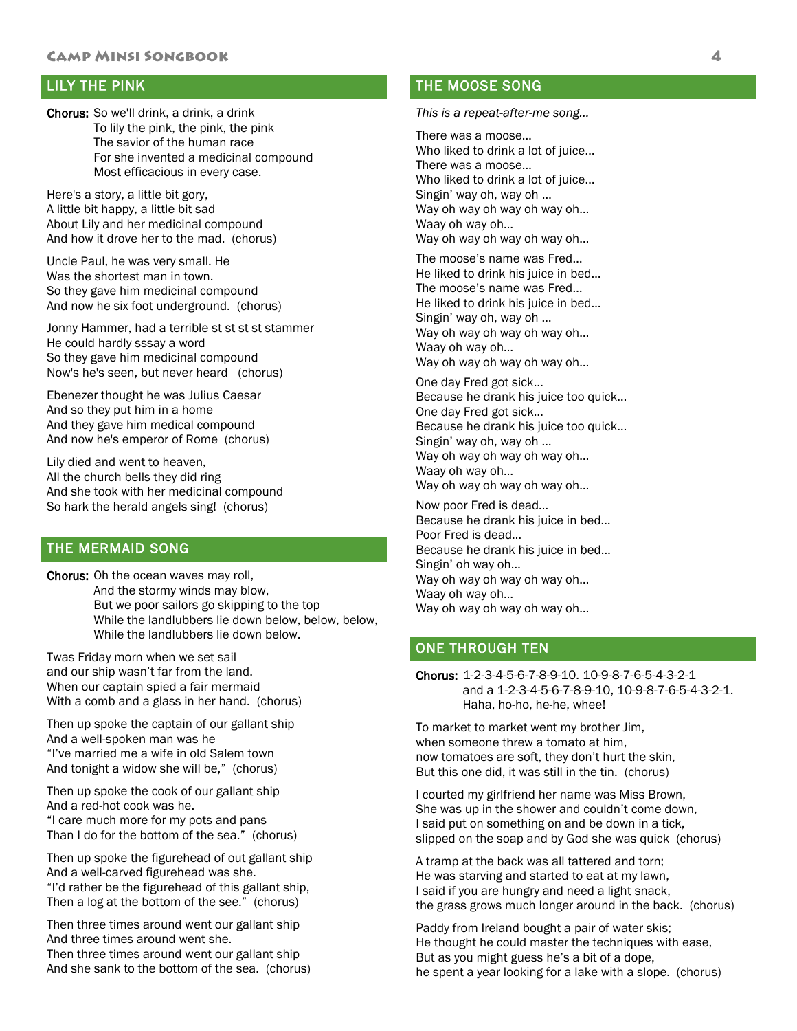## <span id="page-4-0"></span>LILY THE PINK

Chorus: So we'll drink, a drink, a drink To lily the pink, the pink, the pink The savior of the human race For she invented a medicinal compound Most efficacious in every case.

Here's a story, a little bit gory, A little bit happy, a little bit sad About Lily and her medicinal compound And how it drove her to the mad. (chorus)

Uncle Paul, he was very small. He Was the shortest man in town. So they gave him medicinal compound And now he six foot underground. (chorus)

Jonny Hammer, had a terrible st st st st stammer He could hardly sssay a word So they gave him medicinal compound Now's he's seen, but never heard (chorus)

Ebenezer thought he was Julius Caesar And so they put him in a home And they gave him medical compound And now he's emperor of Rome (chorus)

Lily died and went to heaven, All the church bells they did ring And she took with her medicinal compound So hark the herald angels sing! (chorus)

#### <span id="page-4-1"></span>THE MERMAID SONG

Chorus: Oh the ocean waves may roll, And the stormy winds may blow, But we poor sailors go skipping to the top While the landlubbers lie down below, below, below, While the landlubbers lie down below.

Twas Friday morn when we set sail and our ship wasn't far from the land. When our captain spied a fair mermaid With a comb and a glass in her hand. (chorus)

Then up spoke the captain of our gallant ship And a well-spoken man was he "I've married me a wife in old Salem town And tonight a widow she will be," (chorus)

Then up spoke the cook of our gallant ship And a red-hot cook was he. "I care much more for my pots and pans Than I do for the bottom of the sea." (chorus)

Then up spoke the figurehead of out gallant ship And a well-carved figurehead was she. "I'd rather be the figurehead of this gallant ship, Then a log at the bottom of the see." (chorus)

Then three times around went our gallant ship And three times around went she. Then three times around went our gallant ship And she sank to the bottom of the sea. (chorus)

## <span id="page-4-2"></span>THE MOOSE SONG

*This is a repeat-after-me song…*

There was a moose… Who liked to drink a lot of juice… There was a moose… Who liked to drink a lot of juice… Singin' way oh, way oh … Way oh way oh way oh way oh… Waay oh way oh… Way oh way oh way oh way oh...

The moose's name was Fred… He liked to drink his juice in bed… The moose's name was Fred… He liked to drink his juice in bed… Singin' way oh, way oh … Way oh way oh way oh way oh… Waay oh way oh… Way oh way oh way oh way oh...

One day Fred got sick… Because he drank his juice too quick… One day Fred got sick… Because he drank his juice too quick… Singin' way oh, way oh … Way oh way oh way oh way oh... Waay oh way oh… Way oh way oh way oh way oh…

Now poor Fred is dead… Because he drank his juice in bed… Poor Fred is dead… Because he drank his juice in bed… Singin' oh way oh… Way oh way oh way oh way oh… Waay oh way oh… Way oh way oh way oh way oh…

#### <span id="page-4-3"></span>ONE THROUGH TEN

Chorus: 1-2-3-4-5-6-7-8-9-10. 10-9-8-7-6-5-4-3-2-1 and a 1-2-3-4-5-6-7-8-9-10, 10-9-8-7-6-5-4-3-2-1. Haha, ho-ho, he-he, whee!

To market to market went my brother Jim, when someone threw a tomato at him, now tomatoes are soft, they don't hurt the skin, But this one did, it was still in the tin. (chorus)

I courted my girlfriend her name was Miss Brown, She was up in the shower and couldn't come down, I said put on something on and be down in a tick, slipped on the soap and by God she was quick (chorus)

A tramp at the back was all tattered and torn; He was starving and started to eat at my lawn, I said if you are hungry and need a light snack, the grass grows much longer around in the back. (chorus)

Paddy from Ireland bought a pair of water skis; He thought he could master the techniques with ease, But as you might guess he's a bit of a dope, he spent a year looking for a lake with a slope. (chorus)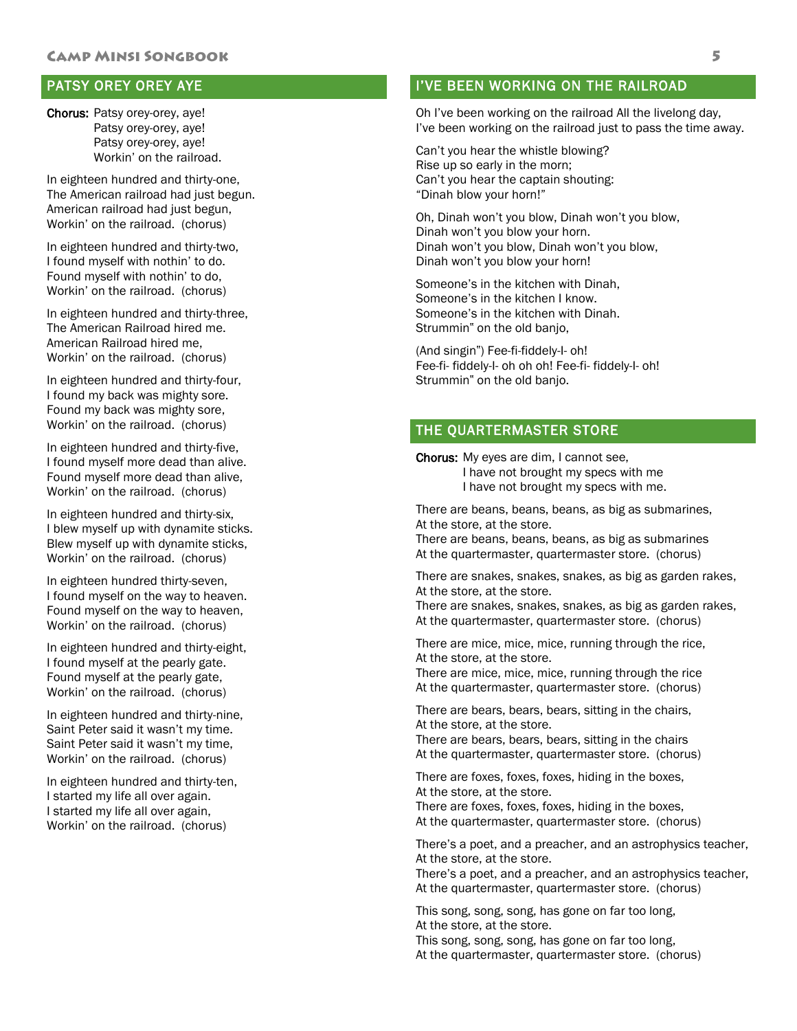## <span id="page-5-0"></span>PATSY OREY OREY AYE

Chorus: Patsy orey-orey, aye! Patsy orey-orey, aye! Patsy orey-orey, aye! Workin' on the railroad.

In eighteen hundred and thirty -one, The American railroad had just begun. American railroad had just begun, Workin' on the railroad. (chorus)

In eighteen hundred and thirty -two, I found myself with nothin' to do. Found myself with nothin' to do, Workin' on the railroad. (chorus)

In eighteen hundred and thirty -three, The American Railroad hired me. American Railroad hired me, Workin' on the railroad. (chorus)

In eighteen hundred and thirty -four, I found my back was mighty sore. Found my back was mighty sore, Workin' on the railroad. (chorus)

In eighteen hundred and thirty -five, I found myself more dead than alive. Found myself more dead than alive, Workin' on the railroad. (chorus)

In eighteen hundred and thirty -six, I blew myself up with dynamite sticks. Blew myself up with dynamite sticks , Workin' on the railroad. (chorus)

In eighteen hundred thirty -seven, I found myself on the way to heaven. Found myself on the way to heaven, Workin' on the railroad. (chorus)

In eighteen hundred and thirty -eight, I found myself at the pearly gate. Found myself at the pearly gate , Workin' on the railroad. (chorus)

In eighteen hundred and thirty -nine, Saint Peter said it wasn't my time. Saint Peter said it wasn't my time, Workin' on the railroad. (chorus)

In eighteen hundred and thirty-ten, I started my life all over again. I started my life all over again, Workin' on the railroad. (chorus)

## I'VE BEEN WORKING ON THE RAILROAD

Oh I've been working on the railroad All the livelong day, I've been working on the railroad just to pass the time away.

Can't you hear the whistle blowing? Rise up so early in the morn; Can't you hear the captain shouting: "Dinah blow your horn!"

Oh, Dinah won't you blow, Dinah won't you blow, Dinah won't you blow your horn. Dinah won't you blow, Dinah won't you blow, Dinah won't you blow your horn!

Someone's in the kitchen with Dinah, Someone's in the kitchen I know. Someone's in the kitchen with Dinah. Strummin " on the old banjo,

(And singin") Fee-fi-fiddely-l- oh! Fee-fi- fiddely-I- oh oh oh! Fee-fi- fiddely-I- oh! Strummin " on the old banjo.

## <span id="page-5-1"></span>THE QUARTERMASTER STORE

Chorus: My eyes are dim, I cannot see, I have not brought my specs with me I have not brought my specs with me.

There are beans, beans, beans, as big as submarines, At the store, at the store.

There are beans, beans, beans, as big as submarines At the quartermaster, quartermaster store. (chorus)

There are snakes, snakes, snakes, as big as garden rakes , At the store, at the store.

There are snakes, snakes, snakes, as big as garden rakes, At the quartermaster, quartermaster store. (chorus)

There are mice, mice, mice, running through the rice , At the store, at the store.

There are mice, mice, mice, running through the rice At the quartermaster, quartermaster store. (chorus)

There are bears, bears, bears, sitting in the chairs, At the store, at the store.

There are bears, bears, bears, sitting in the chairs At the quartermaster, quartermaster store. (chorus)

There are foxes, foxes, foxes, hiding in the boxes, At the store, at the store. There are foxes, foxes, foxes, hiding in the boxes, At the quartermaster, quartermaster store. (chorus)

There's a poet, and a preacher, and an astrophysics teacher, At the store, at the store.

There's a poet, and a preacher, and an astrophysics teacher, At the quartermaster, quartermaster store. (chorus)

This song, song, song, has gone on far too long, At the store, at the store. This song, song, song, has gone on far too long , At the quartermaster, quartermaster store. (chorus)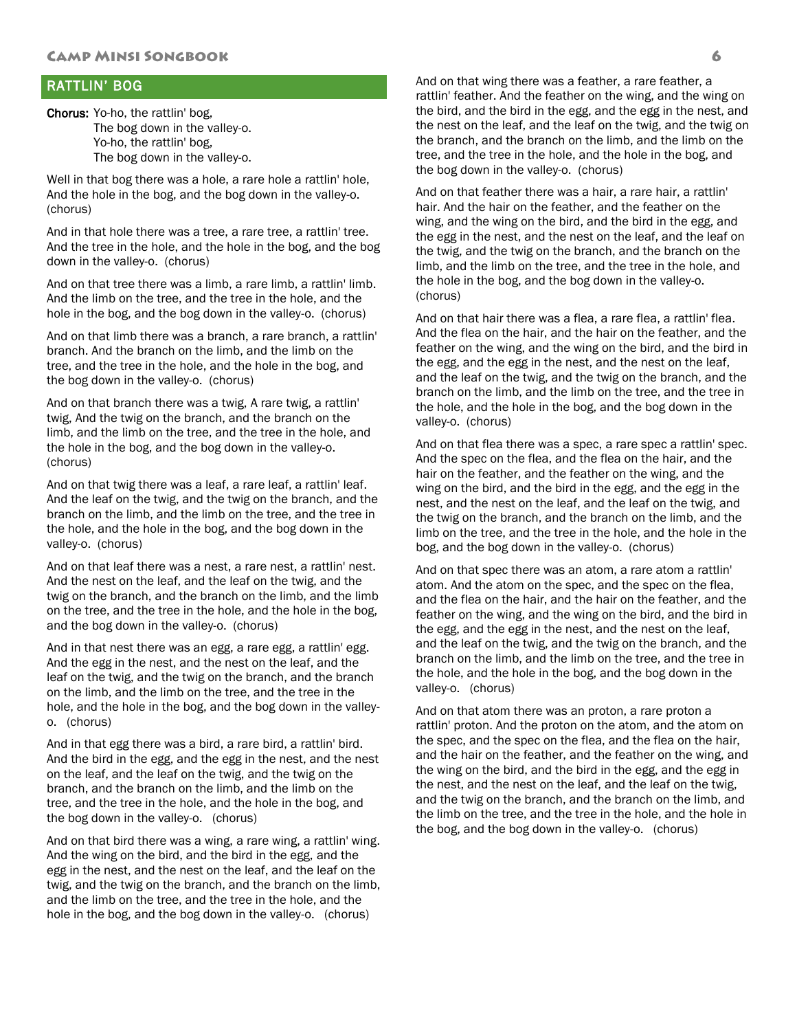## <span id="page-6-0"></span>RATTLIN' BOG

Chorus: Yo-ho, the rattlin' bog, The bog down in the valley-o. Yo-ho, the rattlin' bog, The bog down in the valley-o.

Well in that bog there was a hole, a rare hole a rattlin' hole, And the hole in the bog, and the bog down in the valley-o. (chorus)

And in that hole there was a tree, a rare tree, a rattlin' tree. And the tree in the hole, and the hole in the bog, and the bog down in the valley-o. (chorus)

And on that tree there was a limb, a rare limb, a rattlin' limb. And the limb on the tree, and the tree in the hole, and the hole in the bog, and the bog down in the valley-o. (chorus)

And on that limb there was a branch, a rare branch, a rattlin' branch. And the branch on the limb, and the limb on the tree, and the tree in the hole, and the hole in the bog, and the bog down in the valley-o. (chorus)

And on that branch there was a twig, A rare twig, a rattlin' twig, And the twig on the branch, and the branch on the limb, and the limb on the tree, and the tree in the hole, and the hole in the bog, and the bog down in the valley-o. (chorus)

And on that twig there was a leaf, a rare leaf, a rattlin' leaf. And the leaf on the twig, and the twig on the branch, and the branch on the limb, and the limb on the tree, and the tree in the hole, and the hole in the bog, and the bog down in the valley-o. (chorus)

And on that leaf there was a nest, a rare nest, a rattlin' nest. And the nest on the leaf, and the leaf on the twig, and the twig on the branch, and the branch on the limb, and the limb on the tree, and the tree in the hole, and the hole in the bog, and the bog down in the valley-o. (chorus)

And in that nest there was an egg, a rare egg, a rattlin' egg. And the egg in the nest, and the nest on the leaf, and the leaf on the twig, and the twig on the branch, and the branch on the limb, and the limb on the tree, and the tree in the hole, and the hole in the bog, and the bog down in the valleyo. (chorus)

And in that egg there was a bird, a rare bird, a rattlin' bird. And the bird in the egg, and the egg in the nest, and the nest on the leaf, and the leaf on the twig, and the twig on the branch, and the branch on the limb, and the limb on the tree, and the tree in the hole, and the hole in the bog, and the bog down in the valley-o. (chorus)

And on that bird there was a wing, a rare wing, a rattlin' wing. And the wing on the bird, and the bird in the egg, and the egg in the nest, and the nest on the leaf, and the leaf on the twig, and the twig on the branch, and the branch on the limb, and the limb on the tree, and the tree in the hole, and the hole in the bog, and the bog down in the valley-o. (chorus)

And on that wing there was a feather, a rare feather, a rattlin' feather. And the feather on the wing, and the wing on the bird, and the bird in the egg, and the egg in the nest, and the nest on the leaf, and the leaf on the twig, and the twig on the branch, and the branch on the limb, and the limb on the tree, and the tree in the hole, and the hole in the bog, and the bog down in the valley-o. (chorus)

And on that feather there was a hair, a rare hair, a rattlin' hair. And the hair on the feather, and the feather on the wing, and the wing on the bird, and the bird in the egg, and the egg in the nest, and the nest on the leaf, and the leaf on the twig, and the twig on the branch, and the branch on the limb, and the limb on the tree, and the tree in the hole, and the hole in the bog, and the bog down in the valley-o. (chorus)

And on that hair there was a flea, a rare flea, a rattlin' flea. And the flea on the hair, and the hair on the feather, and the feather on the wing, and the wing on the bird, and the bird in the egg, and the egg in the nest, and the nest on the leaf, and the leaf on the twig, and the twig on the branch, and the branch on the limb, and the limb on the tree, and the tree in the hole, and the hole in the bog, and the bog down in the valley-o. (chorus)

And on that flea there was a spec, a rare spec a rattlin' spec. And the spec on the flea, and the flea on the hair, and the hair on the feather, and the feather on the wing, and the wing on the bird, and the bird in the egg, and the egg in the nest, and the nest on the leaf, and the leaf on the twig, and the twig on the branch, and the branch on the limb, and the limb on the tree, and the tree in the hole, and the hole in the bog, and the bog down in the valley-o. (chorus)

And on that spec there was an atom, a rare atom a rattlin' atom. And the atom on the spec, and the spec on the flea, and the flea on the hair, and the hair on the feather, and the feather on the wing, and the wing on the bird, and the bird in the egg, and the egg in the nest, and the nest on the leaf, and the leaf on the twig, and the twig on the branch, and the branch on the limb, and the limb on the tree, and the tree in the hole, and the hole in the bog, and the bog down in the valley-o. (chorus)

And on that atom there was an proton, a rare proton a rattlin' proton. And the proton on the atom, and the atom on the spec, and the spec on the flea, and the flea on the hair, and the hair on the feather, and the feather on the wing, and the wing on the bird, and the bird in the egg, and the egg in the nest, and the nest on the leaf, and the leaf on the twig, and the twig on the branch, and the branch on the limb, and the limb on the tree, and the tree in the hole, and the hole in the bog, and the bog down in the valley-o. (chorus)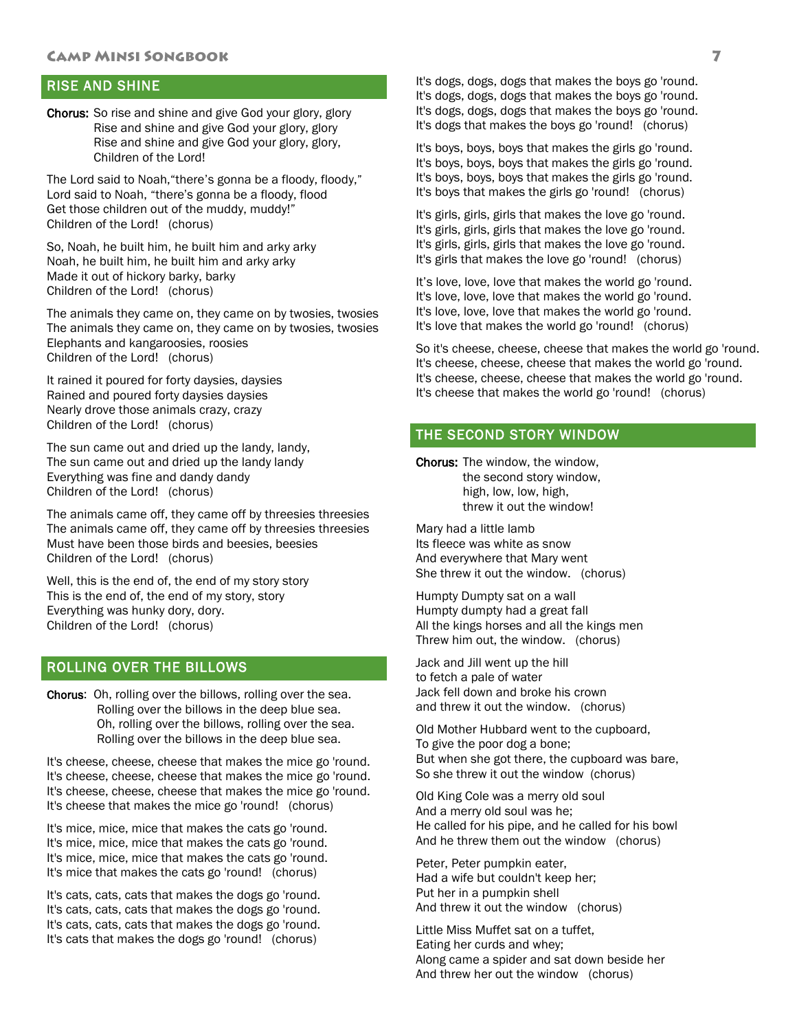## <span id="page-7-0"></span>RISE AND SHINE

Chorus: So rise and shine and give God your glory, glory Rise and shine and give God your glory, glory Rise and shine and give God your glory, glory, Children of the Lord!

The Lord said to Noah,"there's gonna be a floody, floody," Lord said to Noah, "there's gonna be a floody, flood Get those children out of the muddy, muddy!" Children of the Lord! (chorus)

So, Noah, he built him, he built him and arky arky Noah, he built him, he built him and arky arky Made it out of hickory barky, barky Children of the Lord! (chorus)

The animals they came on, they came on by twosies, twosies The animals they came on, they came on by twosies, twosies Elephants and kangaroosies, roosies Children of the Lord! (chorus)

It rained it poured for forty daysies, daysies Rained and poured forty daysies daysies Nearly drove those animals crazy, crazy Children of the Lord! (chorus)

The sun came out and dried up the landy, landy, The sun came out and dried up the landy landy Everything was fine and dandy dandy Children of the Lord! (chorus)

The animals came off, they came off by threesies threesies The animals came off, they came off by threesies threesies Must have been those birds and beesies, beesies Children of the Lord! (chorus)

Well, this is the end of, the end of my story story This is the end of, the end of my story, story Everything was hunky dory, dory. Children of the Lord! (chorus)

## <span id="page-7-1"></span>ROLLING OVER THE BILLOWS

Chorus: Oh, rolling over the billows, rolling over the sea. Rolling over the billows in the deep blue sea. Oh, rolling over the billows, rolling over the sea. Rolling over the billows in the deep blue sea.

It's cheese, cheese, cheese that makes the mice go 'round. It's cheese, cheese, cheese that makes the mice go 'round. It's cheese, cheese, cheese that makes the mice go 'round. It's cheese that makes the mice go 'round! (chorus)

It's mice, mice, mice that makes the cats go 'round. It's mice, mice, mice that makes the cats go 'round. It's mice, mice, mice that makes the cats go 'round. It's mice that makes the cats go 'round! (chorus)

It's cats, cats, cats that makes the dogs go 'round. It's cats, cats, cats that makes the dogs go 'round. It's cats, cats, cats that makes the dogs go 'round. It's cats that makes the dogs go 'round! (chorus)

It's dogs, dogs, dogs that makes the boys go 'round. It's dogs, dogs, dogs that makes the boys go 'round. It's dogs, dogs, dogs that makes the boys go 'round. It's dogs that makes the boys go 'round! (chorus)

It's boys, boys, boys that makes the girls go 'round. It's boys, boys, boys that makes the girls go 'round. It's boys, boys, boys that makes the girls go 'round. It's boys that makes the girls go 'round! (chorus)

It's girls, girls, girls that makes the love go 'round. It's girls, girls, girls that makes the love go 'round. It's girls, girls, girls that makes the love go 'round. It's girls that makes the love go 'round! (chorus)

It's love, love, love that makes the world go 'round. It's love, love, love that makes the world go 'round. It's love, love, love that makes the world go 'round. It's love that makes the world go 'round! (chorus)

So it's cheese, cheese, cheese that makes the world go 'round. It's cheese, cheese, cheese that makes the world go 'round. It's cheese, cheese, cheese that makes the world go 'round. It's cheese that makes the world go 'round! (chorus)

## <span id="page-7-2"></span>THE SECOND STORY WINDOW

Chorus: The window, the window, the second story window, high, low, low, high, threw it out the window!

Mary had a little lamb Its fleece was white as snow And everywhere that Mary went She threw it out the window. (chorus)

Humpty Dumpty sat on a wall Humpty dumpty had a great fall All the kings horses and all the kings men Threw him out, the window. (chorus)

Jack and Jill went up the hill to fetch a pale of water Jack fell down and broke his crown and threw it out the window. (chorus)

Old Mother Hubbard went to the cupboard, To give the poor dog a bone; But when she got there, the cupboard was bare, So she threw it out the window (chorus)

Old King Cole was a merry old soul And a merry old soul was he; He called for his pipe, and he called for his bowl And he threw them out the window (chorus)

Peter, Peter pumpkin eater, Had a wife but couldn't keep her; Put her in a pumpkin shell And threw it out the window (chorus)

Little Miss Muffet sat on a tuffet, Eating her curds and whey; Along came a spider and sat down beside her And threw her out the window (chorus)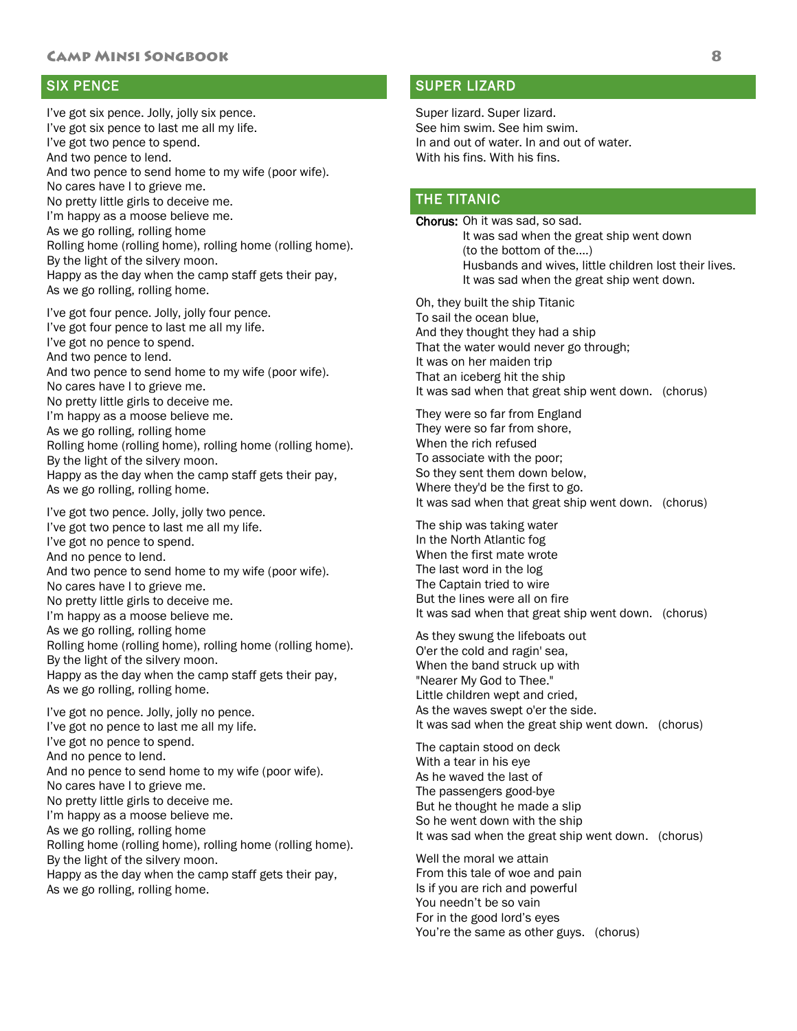## <span id="page-8-0"></span>SIX PENCE

I've got six pence. Jolly, jolly six pence. I've got six pence to last me all my life. I've got two pence to spend. And two pence to lend. And two pence to send home to my wife (poor wife). No cares have I to grieve me. No pretty little girls to deceive me. I'm happy as a moose believe me. As we go rolling, rolling home Rolling home (rolling home), rolling home (rolling home). By the light of the silvery moon. Happy as the day when the camp staff gets their pay, As we go rolling, rolling home.

I've got four pence. Jolly, jolly four pence. I've got four pence to last me all my life. I've got no pence to spend. And two pence to lend. And two pence to send home to my wife (poor wife). No cares have I to grieve me. No pretty little girls to deceive me. I'm happy as a moose believe me. As we go rolling, rolling home Rolling home (rolling home), rolling home (rolling home). By the light of the silvery moon. Happy as the day when the camp staff gets their pay, As we go rolling, rolling home.

I've got two pence. Jolly, jolly two pence. I've got two pence to last me all my life. I've got no pence to spend. And no pence to lend. And two pence to send home to my wife (poor wife). No cares have I to grieve me. No pretty little girls to deceive me. I'm happy as a moose believe me. As we go rolling, rolling home Rolling home (rolling home), rolling home (rolling home). By the light of the silvery moon. Happy as the day when the camp staff gets their pay, As we go rolling, rolling home.

I've got no pence. Jolly, jolly no pence. I've got no pence to last me all my life. I've got no pence to spend. And no pence to lend. And no pence to send home to my wife (poor wife). No cares have I to grieve me. No pretty little girls to deceive me. I'm happy as a moose believe me. As we go rolling, rolling home Rolling home (rolling home), rolling home (rolling home). By the light of the silvery moon. Happy as the day when the camp staff gets their pay, As we go rolling, rolling home.

## <span id="page-8-1"></span>**SUPER LIZARD**

Super lizard. Super lizard. See him swim. See him swim. In and out of water. In and out of water. With his fins. With his fins.

## <span id="page-8-2"></span>**THE TITANIC**

Chorus: Oh it was sad, so sad. It was sad when the great ship went down (to the bottom of the....) Husbands and wives, little children lost their lives. It was sad when the great ship went down.

Oh, they built the ship Titanic To sail the ocean blue, And they thought they had a ship That the water would never go through; It was on her maiden trip That an iceberg hit the ship It was sad when that great ship went down. (chorus)

They were so far from England They were so far from shore, When the rich refused To associate with the poor; So they sent them down below, Where they'd be the first to go. It was sad when that great ship went down. (chorus)

The ship was taking water In the North Atlantic fog When the first mate wrote The last word in the log The Captain tried to wire But the lines were all on fire It was sad when that great ship went down. (chorus)

As they swung the lifeboats out O'er the cold and ragin' sea, When the band struck up with "Nearer My God to Thee." Little children wept and cried, As the waves swept o'er the side. It was sad when the great ship went down. (chorus)

The captain stood on deck With a tear in his eye As he waved the last of The passengers good-bye But he thought he made a slip So he went down with the ship It was sad when the great ship went down. (chorus)

Well the moral we attain From this tale of woe and pain Is if you are rich and powerful You needn't be so vain For in the good lord's eyes You're the same as other guys. (chorus)